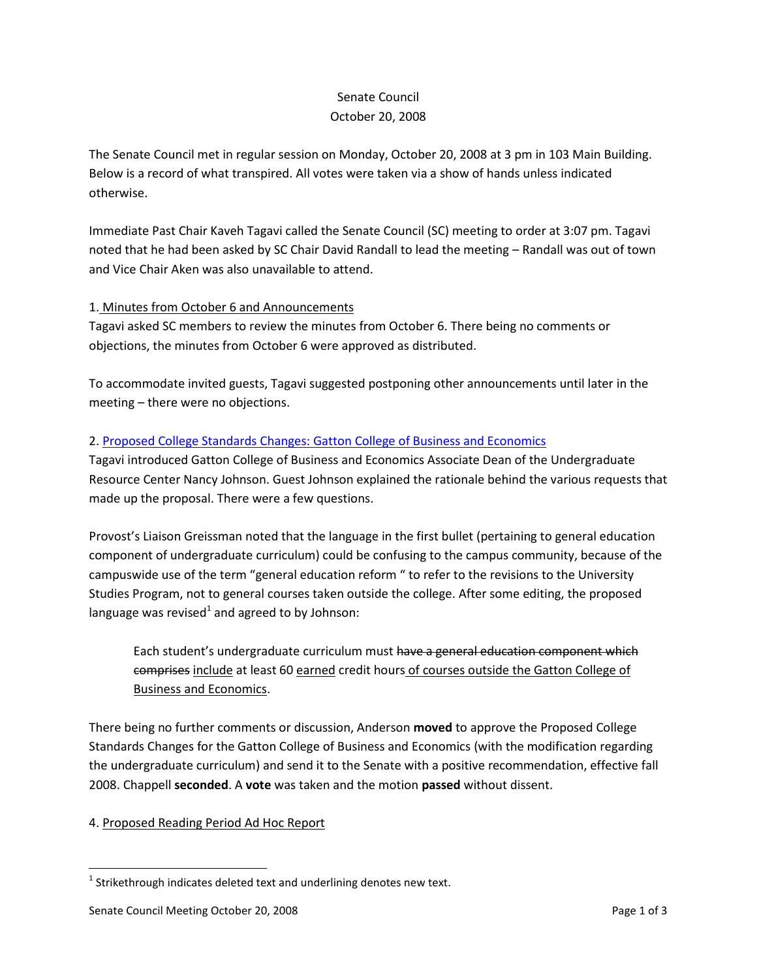# Senate Council October 20, 2008

The Senate Council met in regular session on Monday, October 20, 2008 at 3 pm in 103 Main Building. Below is a record of what transpired. All votes were taken via a show of hands unless indicated otherwise.

Immediate Past Chair Kaveh Tagavi called the Senate Council (SC) meeting to order at 3:07 pm. Tagavi noted that he had been asked by SC Chair David Randall to lead the meeting – Randall was out of town and Vice Chair Aken was also unavailable to attend.

# 1. Minutes from October 6 and Announcements

Tagavi asked SC members to review the minutes from October 6. There being no comments or objections, the minutes from October 6 were approved as distributed.

To accommodate invited guests, Tagavi suggested postponing other announcements until later in the meeting – there were no objections.

### 2. [Proposed College Standards Changes: Gatton College of Business and Economics](http://www.uky.edu/USC/New/files/B&E%20UG%20Admissions%20Reqs%20-%20UG%20Program%20Change_Complete.pdf)

Tagavi introduced Gatton College of Business and Economics Associate Dean of the Undergraduate Resource Center Nancy Johnson. Guest Johnson explained the rationale behind the various requests that made up the proposal. There were a few questions.

Provost's Liaison Greissman noted that the language in the first bullet (pertaining to general education component of undergraduate curriculum) could be confusing to the campus community, because of the campuswide use of the term "general education reform " to refer to the revisions to the University Studies Program, not to general courses taken outside the college. After some editing, the proposed language was revised $^1$  and agreed to by Johnson:

Each student's undergraduate curriculum must have a general education component which comprises include at least 60 earned credit hours of courses outside the Gatton College of Business and Economics.

There being no further comments or discussion, Anderson **moved** to approve the Proposed College Standards Changes for the Gatton College of Business and Economics (with the modification regarding the undergraduate curriculum) and send it to the Senate with a positive recommendation, effective fall 2008. Chappell **seconded**. A **vote** was taken and the motion **passed** without dissent.

### 4. Proposed Reading Period Ad Hoc Report

 $\overline{\phantom{a}}$ 

 $^{1}$  Strikethrough indicates deleted text and underlining denotes new text.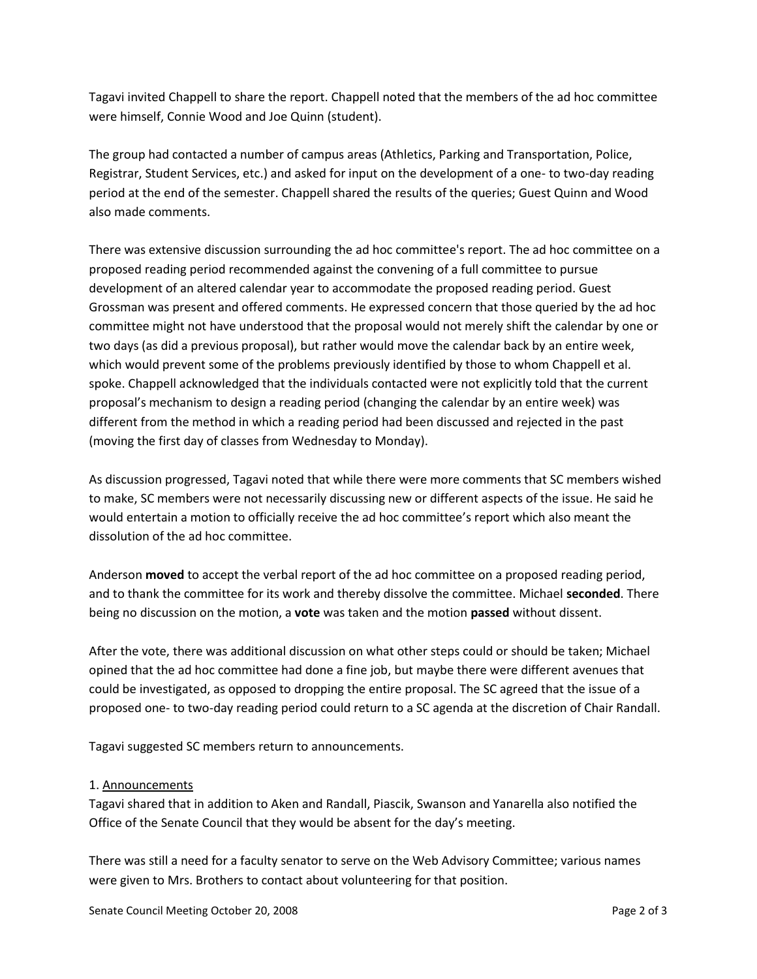Tagavi invited Chappell to share the report. Chappell noted that the members of the ad hoc committee were himself, Connie Wood and Joe Quinn (student).

The group had contacted a number of campus areas (Athletics, Parking and Transportation, Police, Registrar, Student Services, etc.) and asked for input on the development of a one- to two-day reading period at the end of the semester. Chappell shared the results of the queries; Guest Quinn and Wood also made comments.

There was extensive discussion surrounding the ad hoc committee's report. The ad hoc committee on a proposed reading period recommended against the convening of a full committee to pursue development of an altered calendar year to accommodate the proposed reading period. Guest Grossman was present and offered comments. He expressed concern that those queried by the ad hoc committee might not have understood that the proposal would not merely shift the calendar by one or two days (as did a previous proposal), but rather would move the calendar back by an entire week, which would prevent some of the problems previously identified by those to whom Chappell et al. spoke. Chappell acknowledged that the individuals contacted were not explicitly told that the current proposal's mechanism to design a reading period (changing the calendar by an entire week) was different from the method in which a reading period had been discussed and rejected in the past (moving the first day of classes from Wednesday to Monday).

As discussion progressed, Tagavi noted that while there were more comments that SC members wished to make, SC members were not necessarily discussing new or different aspects of the issue. He said he would entertain a motion to officially receive the ad hoc committee's report which also meant the dissolution of the ad hoc committee.

Anderson **moved** to accept the verbal report of the ad hoc committee on a proposed reading period, and to thank the committee for its work and thereby dissolve the committee. Michael **seconded**. There being no discussion on the motion, a **vote** was taken and the motion **passed** without dissent.

After the vote, there was additional discussion on what other steps could or should be taken; Michael opined that the ad hoc committee had done a fine job, but maybe there were different avenues that could be investigated, as opposed to dropping the entire proposal. The SC agreed that the issue of a proposed one- to two-day reading period could return to a SC agenda at the discretion of Chair Randall.

Tagavi suggested SC members return to announcements.

### 1. Announcements

Tagavi shared that in addition to Aken and Randall, Piascik, Swanson and Yanarella also notified the Office of the Senate Council that they would be absent for the day's meeting.

There was still a need for a faculty senator to serve on the Web Advisory Committee; various names were given to Mrs. Brothers to contact about volunteering for that position.